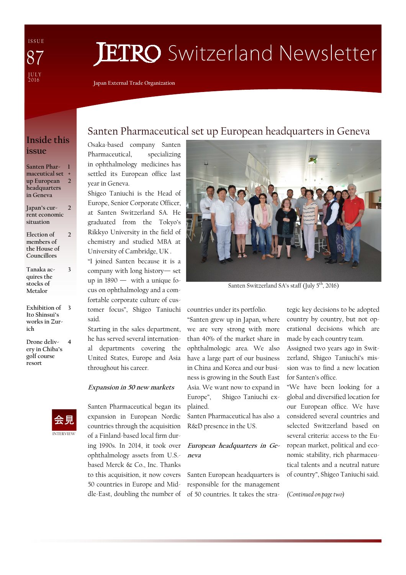I S S U E J U L Y<br>2016 87

# **JETRO** Switzerland Newsletter

**Japan External Trade Organization** 

## **Inside this issue**

**Santen Pharmaceutical set + up European headquarters in Geneva 1**  $\overline{2}$ 

**Japan's current economic situation**   $\overline{\phantom{a}}$ 

- **Election of members of the House of Councillors 2**
- **Tanaka acquires the stocks of Metalor**

**3** 

- **Exhibition of 3 Ito Shinsui's works in Zurich**
- **Drone delivery in Chiba's golf course resort 4**



## Santen Pharmaceutical set up European headquarters in Geneva

Osaka-based company Santen Pharmaceutical, specializing in ophthalmology medicines has settled its European office last year in Geneva.

Shigeo Taniuchi is the Head of Europe, Senior Corporate Officer, at Santen Switzerland SA. He graduated from the Tokyo's Rikkyo University in the field of chemistry and studied MBA at University of Cambridge, UK . "I joined Santen because it is a

company with long history— set up in  $1890 -$  with a unique focus on ophthalmology and a comfortable corporate culture of customer focus", Shigeo Taniuchi said.

Starting in the sales department, he has served several international departments covering the United States, Europe and Asia throughout his career.

#### **Expansion in 50 new markets**

Santen Pharmaceutical began its expansion in European Nordic countries through the acquisition of a Finland-based local firm during 1990s. In 2014, it took over ophthalmology assets from U.S. based Merck & Co., Inc. Thanks to this acquisition, it now covers 50 countries in Europe and Middle-East, doubling the number of



Santen Switzerland SA's staff (July 5<sup>th</sup>, 2016)

countries under its portfolio.

"Santen grew up in Japan, where we are very strong with more than 40% of the market share in ophthalmologic area. We also have a large part of our business in China and Korea and our business is growing in the South East Asia. We want now to expand in Europe", Shigeo Taniuchi explained.

Santen Pharmaceutical has also a R&D presence in the US.

#### **European headquarters in Geneva**

Santen European headquarters is responsible for the management of 50 countries. It takes the stra-

tegic key decisions to be adopted country by country, but not operational decisions which are made by each country team.

Assigned two years ago in Switzerland, Shigeo Taniuchi's mission was to find a new location for Santen's office.

"We have been looking for a global and diversified location for our European office. We have considered several countries and selected Switzerland based on several criteria: access to the European market, political and economic stability, rich pharmaceutical talents and a neutral nature of country", Shigeo Taniuchi said.

*(Continued on page two)*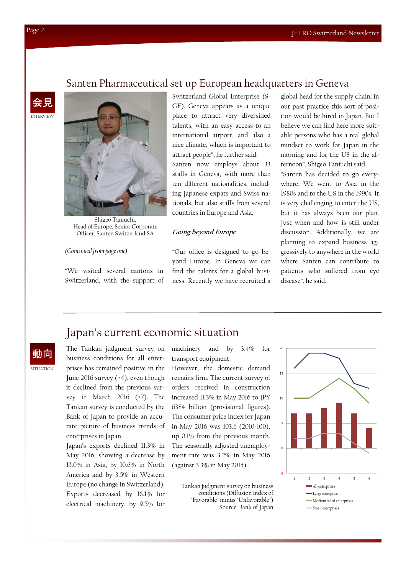### Santen Pharmaceutical set up European headquarters in Geneva

INTERVIEW 会見



Shigeo Taniuchi, Head of Europe, Senior Corporate Officer, Santen Switzerland SA

#### *(Continued from page one)*

"We visited several cantons in Switzerland, with the support of Switzerland Global Enterprise (S-GE). Geneva appears as a unique place to attract very diversified talents, with an easy access to an international airport, and also a nice climate, which is important to attract people", he further said. Santen now employs about 33

staffs in Geneva, with more than ten different nationalities, including Japanese expats and Swiss nationals, but also staffs from several countries in Europe and Asia.

#### **Going beyond Europe**

"Our office is designed to go beyond Europe. In Geneva we can find the talents for a global business. Recently we have recruited a global head for the supply chain; in our past practice this sort of position would be hired in Japan. But I believe we can find here more suitable persons who has a real global mindset to work for Japan in the morning and for the US in the afternoon", Shigeo Taniuchi said. "Santen has decided to go everywhere. We went to Asia in the 1980s and to the US in the 1990s. It is very challenging to enter the US,

but it has always been our plan. Just when and how is still under discussion. Additionally, we are planning to expand business aggressively to anywhere in the world where Santen can contribute to patients who suffered from eye disease", he said.

## Japan's current economic situation

SITUATION 動向

The Tankan judgment survey on business conditions for all enterprises has remained positive in the June 2016 survey (+4), even though it declined from the previous survey in March 2016 (+7). The Tankan survey is conducted by the Bank of Japan to provide an accurate picture of business trends of enterprises in Japan.

Japan's exports declined 11.3% in May 2016, showing a decrease by 13.0% in Asia, by 10.6% in North America and by 3.5% in Western Europe (no change in Switzerland). Exports decreased by 16.1% for electrical machinery, by 9.5% for machinery and by 3.4% for transport equipment.

However, the domestic demand remains firm. The current survey of orders received in construction increased 11.3% in May 2016 to JPY 6384 billion (provisional figures). The consumer price index for Japan in May 2016 was 103.6 (2010=100), up 0.1% from the previous month. The seasonally adjusted unemployment rate was 3.2% in May 2016 (against 3.3% in May 2015) .

Tankan judgment survey on business conditions (Diffusion index of "Favorable" minus "Unfavorable") Source: Bank of Japan

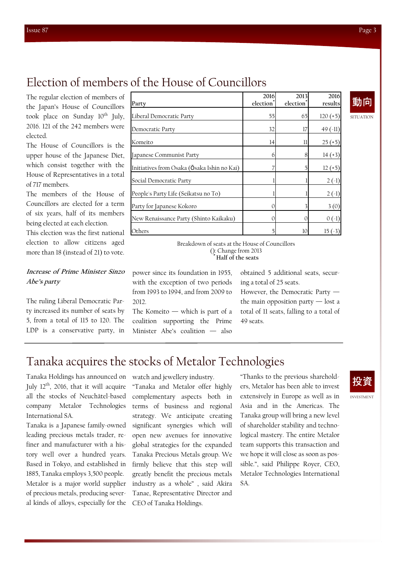The regular election of members of the Japan's House of Councillors took place on Sunday  $10^{th}$  July, 2016. 121 of the 242 members were elected.

The House of Councillors is the upper house of the Japanese Diet, which consist together with the House of Representatives in a total of 717 members.

The members of the House of Councillors are elected for a term of six years, half of its members being elected at each election.

This election was the first national election to allow citizens aged more than 18 (instead of 21) to vote.

#### **Increase of Prime Minister Sinzo Abe's party**

The ruling Liberal Democratic Party increased its number of seats by 5, from a total of 115 to 120. The LDP is a conservative party, in

| Party                                       | 2016<br>election <sup>®</sup> | 2013<br>election <sup>'</sup> | 2016<br>results |
|---------------------------------------------|-------------------------------|-------------------------------|-----------------|
| Liberal Democratic Party                    | 55                            | 65                            | $120 (+5)$      |
| Democratic Party                            | 32                            | 17                            | $49(-11)$       |
| Komeito                                     | 14                            | 11                            | $25(+5)$        |
| Japanese Communist Party                    | 6                             | 8                             | $14 (+3)$       |
| Initiatives from Osaka (Ōsaka Ishin no Kai) |                               |                               | $12 (+5)$       |
| Social Democratic Party                     |                               |                               | $2(-1)$         |
| People's Party Life (Seikatsu no To)        |                               |                               | $2(-1)$         |
| Party for Japanese Kokoro                   | 0                             |                               | 3(0)            |
| New Renaissance Party (Shinto Kaikaku)      | $\Omega$                      | 0                             | $0( -1)$        |
| Others                                      | 5                             | 10                            | $15( -3)$       |

SITUATION 動向

Breakdown of seats at the House of Councillors (): Change from 2013 **\* Half of the seats**

power since its foundation in 1955, with the exception of two periods from 1993 to 1994, and from 2009 to 2012.

The Komeito  $-$  which is part of a coalition supporting the Prime Minister Abe's coalition — also

obtained 5 additional seats, securing a total of 25 seats.

However, the Democratic Party the main opposition party  $-$  lost a total of 11 seats, falling to a total of 49 seats.

## Tanaka acquires the stocks of Metalor Technologies

Tanaka Holdings has announced on July  $12<sup>th</sup>$ , 2016, that it will acquire all the stocks of Neuchâtel-based company Metalor Technologies International SA.

Tanaka is a Japanese family-owned leading precious metals trader, refiner and manufacturer with a history well over a hundred years. Based in Tokyo, and established in 1885, Tanaka employs 3,500 people. Metalor is a major world supplier of precious metals, producing several kinds of alloys, especially for the watch and jewellery industry.

"Tanaka and Metalor offer highly complementary aspects both in terms of business and regional strategy. We anticipate creating significant synergies which will open new avenues for innovative global strategies for the expanded Tanaka Precious Metals group. We firmly believe that this step will greatly benefit the precious metals industry as a whole" , said Akira Tanae, Representative Director and CEO of Tanaka Holdings.

"Thanks to the previous shareholders, Metalor has been able to invest extensively in Europe as well as in Asia and in the Americas. The Tanaka group will bring a new level of shareholder stability and technological mastery. The entire Metalor team supports this transaction and we hope it will close as soon as possible.", said Philippe Royer, CEO, Metalor Technologies International SA.